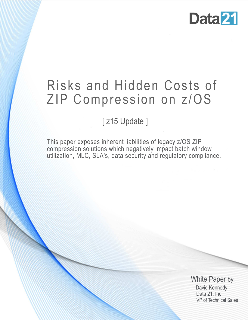

# Risks and Hidden Costs of ZIP Compression on z/OS

# [z15 Update]

This paper exposes inherent liabilities of legacy z/OS ZIP compression solutions which negatively impact batch window utilization, MLC, SLA's, data security and regulatory compliance.

> White Paper by David Kennedy Data 21, Inc. VP of Technical Sales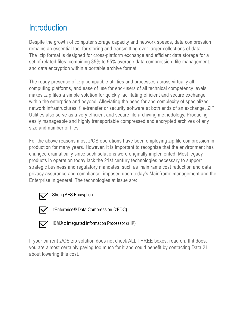# **Introduction**

Despite the growth of computer storage capacity and network speeds, data compression remains an essential tool for storing and transmitting ever-larger collections of data. The .zip format is designed for cross-platform exchange and efficient data storage for a set of related files; combining 85% to 95% average data compression, file management, and data encryption within a portable archive format.

The ready presence of .zip compatible utilities and processes across virtually all computing platforms, and ease of use for end-users of all technical competency levels, makes .zip files a simple solution for quickly facilitating efficient and secure exchange within the enterprise and beyond. Alleviating the need for and complexity of specialized network infrastructures, file-transfer or security software at both ends of an exchange. ZIP Utilities also serve as a very efficient and secure file archiving methodology. Producing easily manageable and highly transportable compressed and encrypted archives of any size and number of files.

For the above reasons most z/OS operations have been employing zip file compression in production for many years. However, it is important to recognize that the environment has changed dramatically since such solutions were originally implemented. Most legacy products in operation today lack the 21st century technologies necessary to support strategic business and regulatory mandates, such as mainframe cost reduction and data privacy assurance and compliance, imposed upon today's Mainframe management and the Enterprise in general. The technologies at issue are:



Strong AES Encryption



zEnterprise® Data Compression (zEDC)



**IBM**® z Integrated Information Processor (**zIIP**)

If your current z/OS zip solution does not check ALL THREE boxes, read on. If it does, you are almost certainly paying too much for it and could benefit by contacting Data 21 about lowering this cost.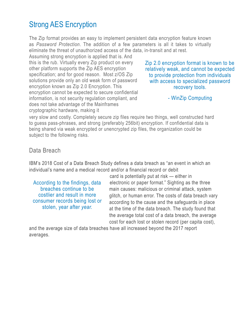### Strong AES Encryption

The Zip format provides an easy to implement persistent data encryption feature known as *Password Protection*. The addition of a few parameters is all it takes to virtually eliminate the threat of unauthorized access of the data, in-transit and at rest.

Assuming strong encryption is applied that is. And this is the rub. Virtually every Zip product on every other platform supports the Zip AES encryption specification; and for good reason. Most z/OS Zip solutions provide only an old weak form of password encryption known as Zip 2.0 Encryption. This encryption cannot be expected to secure confidential information, is not security regulation compliant, and does not take advantage of the Mainframes cryptographic hardware, making it

Zip 2.0 encryption format is known to be relatively weak, and cannot be expected to provide protection from individuals with access to specialized password recovery tools.

- WinZip Computing

very slow and costly. Completely secure zip files require two things, well constructed hard to guess pass-phrases, and strong (preferably 256bit) encryption. If confidential data is being shared via weak encrypted or unencrypted zip files, the organization could be subject to the following risks.

#### Data Breach

IBM's 2018 Cost of a Data Breach Study defines a data breach as "an event in which an individual's name and a medical record and/or a financial record or debit

According to the findings, data breaches continue to be costlier and result in more consumer records being lost or stolen, year after *year.*

card is potentially put at risk — either in electronic or paper format." Sighting as the three main causes: malicious or criminal attack, system glitch, or human error. The costs of data breach vary according to the cause and the safeguards in place at the time of the data breach. The study found that the average total cost of a data breach, the average cost for each lost or stolen record (per capita cost),

and the average size of data breaches have all increased beyond the 2017 report averages.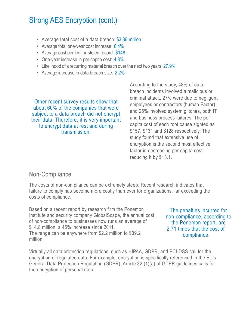# Strong AES Encryption (cont.)

- Average total cost of a data breach: \$3.86 million
- Average total one-year cost increase: 6.4%
- Average cost per lost or stolen record: \$148
- One-year increase in per capita cost: 4.8%
- Likelihood of a recurring material breach over the next two years: 27.9%
- Average increase in data breach size: 2.2%

Other recent survey results show that about 60% of the companies that were subject to a data breach did not encrypt their data. Therefore, it is very important to encrypt data at rest and during transmission.

According to the study, 48% of data breach incidents involved a malicious or criminal attack, 27% were due to negligent employees or contractors (human Factor) and 25% involved system glitches, both IT and business process failures. The per capita cost of each root cause sighted as \$157, \$131 and \$128 respectively. The study found that extensive use of encryption is the second most effective factor in decreasing per capita cost reducing it by \$13.1.

#### Non-Compliance

The costs of non-compliance can be extremely steep. Recent research indicates that failure to comply has become more costly than ever for organizations, far exceeding the costs of compliance.

Based on a recent report by research firm the Ponemon Institute and security company GlobalScape, the annual cost of non-compliance to businesses now runs an average of \$14.8 million, a 45% increase since 2011. The range can be anywhere from \$2.2 million to \$39.2 million.

The penalties incurred for non-compliance, according to the Ponemon report, are 2.71 times that the cost of compliance.

Virtually all data protection regulations, such as HIPAA, GDPR, and PCI-DSS call for the encryption of regulated data. For example, encryption is specifically referenced in the EU's General Data Protection Regulation (GDPR). Article 32 (1)(a) of GDPR guidelines calls for the encryption of personal data.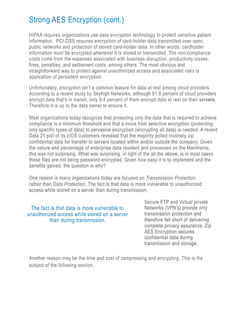# Strong AES Encryption (cont.)

HIPAA requires organizations use data encryption technology to protect sensitive patient information. PCI-DSS requires encryption of card-holder data transmitted over open, public networks and protection of stored card-holder data. In other words, cardholder information must be encrypted whenever it is stored or transmitted. The non-compliance costs come from the expenses associated with business disruption, productivity losses, fines, penalties, and settlement costs, among others. The most obvious and straightforward way to protect against unauthorized access and associated risks is application of persistent encryption.

Unfortunately, encryption isn't a common feature for data at rest among cloud providers. According to a recent study by Skyhigh Networks, although 81.8 percent of cloud providers encrypt data that's in transit, only 9.4 percent of them encrypt data at rest on their servers. Therefore it is up to the data owner to ensure it.

Most organizations today recognize that protecting only the data that is required to achieve compliance is a minimum threshold and that a move from selective encryption (protecting only specific types of data) to pervasive encryption (encrypting all data) is needed. A recent Data 21 poll of its z/OS customers revealed that the majority polled routinely zip confidential data for transfer to servers located within and/or outside the company. Given the nature and percentage of enterprise data resident and processed on the Mainframe, this was not surprising. What was surprising, in light of the all the above, is in most cases these files are not being password encrypted. Given how easy it is to implement and the benefits gained, the question is why?

One reason is many organizations today are focused on *Transmission Protection* rather than *Data Protection*. The fact is that data is more vulnerable to unauthorized access while stored on a server than during transmission.

The fact is that data is more vulnerable to unauthorized access while stored on a server than during transmission.

Secure FTP and Virtual private Networks *(VPN's)* provide only transmission protection and therefore fall short of delivering complete privacy assurance. Zip AES Encryption secures confidential data during transmission and storage.

Another reason may be the time and cost of compressing and encrypting. This is the subject of the following section.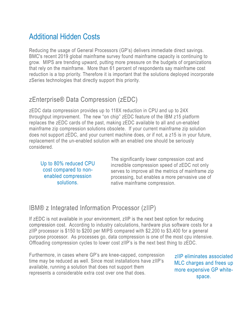### Additional Hidden Costs

Reducing the usage of General Processors (GP's) delivers immediate direct savings. BMC's recent 2019 global mainframe survey found mainframe capacity is continuing to grow. MIPS are trending upward, putting more pressure on the budgets of organizations that rely on the mainframe. More than 61 percent of respondents say mainframe cost reduction is a top priority. Therefore it is important that the solutions deployed incorporate zSeries technologies that directly support this priority.

#### zEnterprise® Data Compression (zEDC)

zEDC data compression provides up to 118X reduction in CPU and up to 24X throughput improvement. The new "on chip" zEDC feature of the IBM z15 platform replaces the zEDC cards of the past, making zEDC available to all and un-enabled mainframe zip compression solutions obsolete. If your current mainframe zip solution does not support zEDC, and your current machine does, or if not, a z15 is in your future, replacement of the un-enabled solution with an enabled one should be seriously considered.

Up to 80% reduced CPU cost compared to nonenabled compression solutions.

The significantly lower compression cost and incredible compression speed of zEDC not only serves to improve all the metrics of mainframe zip processing, but enables a more pervasive use of native mainframe compression.

### IBM® z Integrated Information Processor (zIIP)

If zEDC is not available in your environment, zIIP is the next best option for reducing compression cost. According to industry calculations, hardware plus software costs for a zIIP processor is \$150 to \$200 per MIPS compared with \$2,200 to \$3,400 for a general purpose processor. As processes go, data compression is one of the most cpu intensive. Offloading compression cycles to lower cost zIIP's is the next best thing to zEDC.

Furthermore, in cases where GP's are knee-capped, compression time may be reduced as well. Since most installations have zIIP's available, running a solution that does not support them represents a considerable extra cost over one that does.

zIIP eliminates associated MLC charges and frees up more expensive GP whitespace.